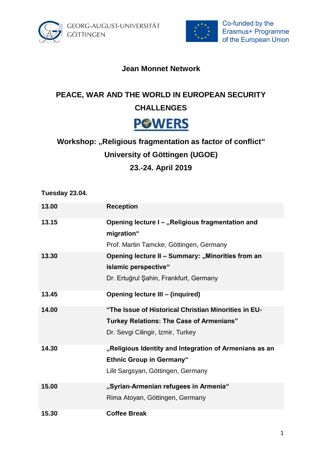



### **Jean Monnet Network**

## **PEACE, WAR AND THE WORLD IN EUROPEAN SECURITY**

### **CHALLENGES**

# **PGWERS**

# **Workshop: "Religious fragmentation as factor of conflict" University of Göttingen (UGOE) 23.-24. April 2019**

**Tuesday 23.04.**

| 13.00 | <b>Reception</b>                                       |
|-------|--------------------------------------------------------|
| 13.15 | Opening lecture I - "Religious fragmentation and       |
|       | migration"                                             |
|       | Prof. Martin Tamcke, Göttingen, Germany                |
| 13.30 | Opening lecture II - Summary: "Minorities from an      |
|       | islamic perspective"                                   |
|       | Dr. Ertuğrul Şahin, Frankfurt, Germany                 |
| 13.45 | <b>Opening lecture III - (inquired)</b>                |
| 14.00 | "The Issue of Historical Christian Minorities in EU-   |
|       | <b>Turkey Relations: The Case of Armenians"</b>        |
|       | Dr. Sevgi Cilingir, Izmir, Turkey                      |
| 14.30 | "Religious Identity and Integration of Armenians as an |
|       | <b>Ethnic Group in Germany"</b>                        |
|       | Lilit Sargsyan, Göttingen, Germany                     |
| 15.00 | "Syrian-Armenian refugees in Armenia"                  |
|       | Rima Atoyan, Göttingen, Germany                        |
| 15.30 | <b>Coffee Break</b>                                    |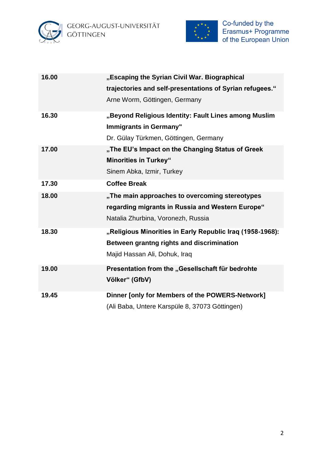



| 16.00 | "Escaping the Syrian Civil War. Biographical<br>trajectories and self-presentations of Syrian refugees."<br>Arne Worm, Göttingen, Germany |
|-------|-------------------------------------------------------------------------------------------------------------------------------------------|
| 16.30 | "Beyond Religious Identity: Fault Lines among Muslim<br><b>Immigrants in Germany"</b><br>Dr. Gülay Türkmen, Göttingen, Germany            |
| 17.00 | "The EU's Impact on the Changing Status of Greek<br><b>Minorities in Turkey"</b><br>Sinem Abka, Izmir, Turkey                             |
| 17.30 | <b>Coffee Break</b>                                                                                                                       |
| 18.00 | "The main approaches to overcoming stereotypes<br>regarding migrants in Russia and Western Europe"<br>Natalia Zhurbina, Voronezh, Russia  |
| 18.30 | "Religious Minorities in Early Republic Iraq (1958-1968):<br>Between grantng rights and discrimination<br>Majid Hassan Ali, Dohuk, Iraq   |
| 19.00 | Presentation from the "Gesellschaft für bedrohte<br>Völker" (GfbV)                                                                        |
| 19.45 | Dinner [only for Members of the POWERS-Network]<br>(Ali Baba, Untere Karspüle 8, 37073 Göttingen)                                         |